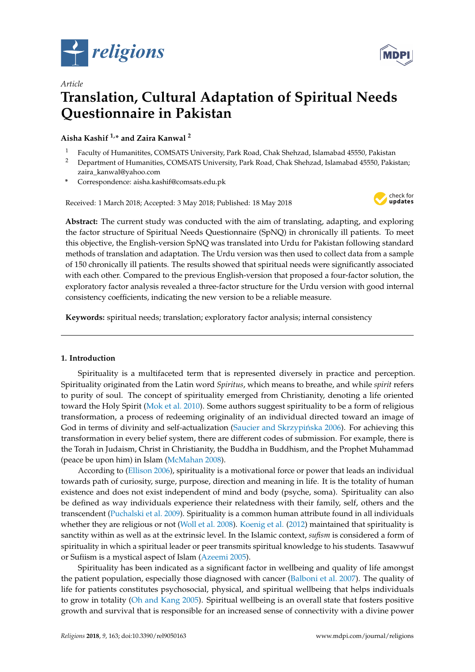



# *Article* **Translation, Cultural Adaptation of Spiritual Needs Questionnaire in Pakistan**

**Aisha Kashif 1,\* and Zaira Kanwal <sup>2</sup>**

- <sup>1</sup> Faculty of Humanitites, COMSATS University, Park Road, Chak Shehzad, Islamabad 45550, Pakistan
- <sup>2</sup> Department of Humanities, COMSATS University, Park Road, Chak Shehzad, Islamabad 45550, Pakistan; zaira\_kanwal@yahoo.com
- **\*** Correspondence: aisha.kashif@comsats.edu.pk

Received: 1 March 2018; Accepted: 3 May 2018; Published: 18 May 2018



**Abstract:** The current study was conducted with the aim of translating, adapting, and exploring the factor structure of Spiritual Needs Questionnaire (SpNQ) in chronically ill patients. To meet this objective, the English-version SpNQ was translated into Urdu for Pakistan following standard methods of translation and adaptation. The Urdu version was then used to collect data from a sample of 150 chronically ill patients. The results showed that spiritual needs were significantly associated with each other. Compared to the previous English-version that proposed a four-factor solution, the exploratory factor analysis revealed a three-factor structure for the Urdu version with good internal consistency coefficients, indicating the new version to be a reliable measure.

**Keywords:** spiritual needs; translation; exploratory factor analysis; internal consistency

# **1. Introduction**

Spirituality is a multifaceted term that is represented diversely in practice and perception. Spirituality originated from the Latin word *Spiritus*, which means to breathe, and while *spirit* refers to purity of soul. The concept of spirituality emerged from Christianity, denoting a life oriented toward the Holy Spirit [\(Mok et al.](#page-7-0) [2010\)](#page-7-0). Some authors suggest spirituality to be a form of religious transformation, a process of redeeming originality of an individual directed toward an image of God in terms of divinity and self-actualization (Saucier and Skrzypińska [2006\)](#page-7-1). For achieving this transformation in every belief system, there are different codes of submission. For example, there is the Torah in Judaism, Christ in Christianity, the Buddha in Buddhism, and the Prophet Muhammad (peace be upon him) in Islam [\(McMahan](#page-7-2) [2008\)](#page-7-2).

According to [\(Ellison](#page-7-3) [2006\)](#page-7-3), spirituality is a motivational force or power that leads an individual towards path of curiosity, surge, purpose, direction and meaning in life. It is the totality of human existence and does not exist independent of mind and body (psyche, soma). Spirituality can also be defined as way individuals experience their relatedness with their family, self, others and the transcendent [\(Puchalski et al.](#page-7-4) [2009\)](#page-7-4). Spirituality is a common human attribute found in all individuals whether they are religious or not [\(Woll et al.](#page-7-5) [2008\)](#page-7-5). [Koenig et al.](#page-7-6) [\(2012\)](#page-7-6) maintained that spirituality is sanctity within as well as at the extrinsic level. In the Islamic context, *sufism* is considered a form of spirituality in which a spiritual leader or peer transmits spiritual knowledge to his students. Tasawwuf or Sufiism is a mystical aspect of Islam [\(Azeemi](#page-6-0) [2005\)](#page-6-0).

Spirituality has been indicated as a significant factor in wellbeing and quality of life amongst the patient population, especially those diagnosed with cancer [\(Balboni et al.](#page-6-1) [2007\)](#page-6-1). The quality of life for patients constitutes psychosocial, physical, and spiritual wellbeing that helps individuals to grow in totality [\(Oh and Kang](#page-7-7) [2005\)](#page-7-7). Spiritual wellbeing is an overall state that fosters positive growth and survival that is responsible for an increased sense of connectivity with a divine power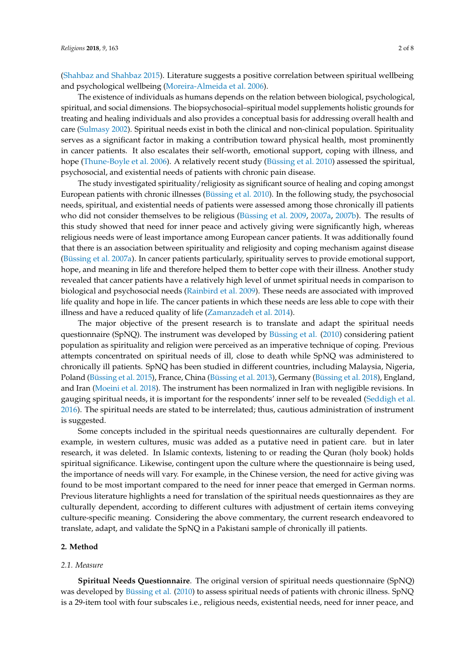[\(Shahbaz and Shahbaz](#page-7-8) [2015\)](#page-7-8). Literature suggests a positive correlation between spiritual wellbeing and psychological wellbeing [\(Moreira-Almeida et al.](#page-7-9) [2006\)](#page-7-9).

The existence of individuals as humans depends on the relation between biological, psychological, spiritual, and social dimensions. The biopsychosocial–spiritual model supplements holistic grounds for treating and healing individuals and also provides a conceptual basis for addressing overall health and care [\(Sulmasy](#page-7-10) [2002\)](#page-7-10). Spiritual needs exist in both the clinical and non-clinical population. Spirituality serves as a significant factor in making a contribution toward physical health, most prominently in cancer patients. It also escalates their self-worth, emotional support, coping with illness, and hope [\(Thune-Boyle et al.](#page-7-11) [2006\)](#page-7-11). A relatively recent study [\(Büssing et al.](#page-6-2) [2010\)](#page-6-2) assessed the spiritual, psychosocial, and existential needs of patients with chronic pain disease.

The study investigated spirituality/religiosity as significant source of healing and coping amongst European patients with chronic illnesses [\(Büssing et al.](#page-6-2) [2010\)](#page-6-2). In the following study, the psychosocial needs, spiritual, and existential needs of patients were assessed among those chronically ill patients who did not consider themselves to be religious [\(Büssing et al.](#page-6-3) [2009,](#page-6-3) [2007a,](#page-6-4) [2007b\)](#page-6-5). The results of this study showed that need for inner peace and actively giving were significantly high, whereas religious needs were of least importance among European cancer patients. It was additionally found that there is an association between spirituality and religiosity and coping mechanism against disease [\(Büssing et al.](#page-6-4) [2007a\)](#page-6-4). In cancer patients particularly, spirituality serves to provide emotional support, hope, and meaning in life and therefore helped them to better cope with their illness. Another study revealed that cancer patients have a relatively high level of unmet spiritual needs in comparison to biological and psychosocial needs [\(Rainbird et al.](#page-7-12) [2009\)](#page-7-12). These needs are associated with improved life quality and hope in life. The cancer patients in which these needs are less able to cope with their illness and have a reduced quality of life [\(Zamanzadeh et al.](#page-7-13) [2014\)](#page-7-13).

The major objective of the present research is to translate and adapt the spiritual needs questionnaire (SpNQ). The instrument was developed by [Büssing et al.](#page-6-2) [\(2010\)](#page-6-2) considering patient population as spirituality and religion were perceived as an imperative technique of coping. Previous attempts concentrated on spiritual needs of ill, close to death while SpNQ was administered to chronically ill patients. SpNQ has been studied in different countries, including Malaysia, Nigeria, Poland [\(Büssing et al.](#page-6-6) [2015\)](#page-6-6), France, China [\(Büssing et al.](#page-6-7) [2013\)](#page-6-7), Germany [\(Büssing et al.](#page-6-8) [2018\)](#page-6-8), England, and Iran [\(Moeini et al.](#page-7-14) [2018\)](#page-7-14). The instrument has been normalized in Iran with negligible revisions. In gauging spiritual needs, it is important for the respondents' inner self to be revealed [\(Seddigh et al.](#page-7-15) [2016\)](#page-7-15). The spiritual needs are stated to be interrelated; thus, cautious administration of instrument is suggested.

Some concepts included in the spiritual needs questionnaires are culturally dependent. For example, in western cultures, music was added as a putative need in patient care. but in later research, it was deleted. In Islamic contexts, listening to or reading the Quran (holy book) holds spiritual significance. Likewise, contingent upon the culture where the questionnaire is being used, the importance of needs will vary. For example, in the Chinese version, the need for active giving was found to be most important compared to the need for inner peace that emerged in German norms. Previous literature highlights a need for translation of the spiritual needs questionnaires as they are culturally dependent, according to different cultures with adjustment of certain items conveying culture-specific meaning. Considering the above commentary, the current research endeavored to translate, adapt, and validate the SpNQ in a Pakistani sample of chronically ill patients.

# **2. Method**

## *2.1. Measure*

**Spiritual Needs Questionnaire**. The original version of spiritual needs questionnaire (SpNQ) was developed by [Büssing et al.](#page-6-2) [\(2010\)](#page-6-2) to assess spiritual needs of patients with chronic illness. SpNQ is a 29-item tool with four subscales i.e., religious needs, existential needs, need for inner peace, and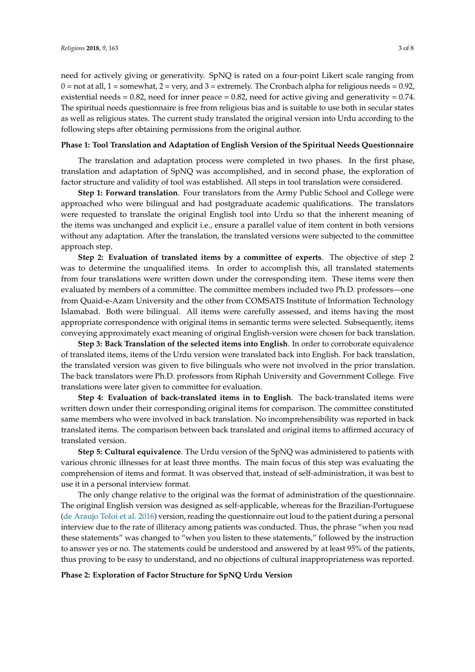need for actively giving or generativity. SpNQ is rated on a four-point Likert scale ranging from  $0 =$  not at all,  $1 =$  somewhat,  $2 =$  very, and  $3 =$  extremely. The Cronbach alpha for religious needs = 0.92, existential needs =  $0.82$ , need for inner peace =  $0.82$ , need for active giving and generativity =  $0.74$ . The spiritual needs questionnaire is free from religious bias and is suitable to use both in secular states as well as religious states. The current study translated the original version into Urdu according to the following steps after obtaining permissions from the original author.

## **Phase 1: Tool Translation and Adaptation of English Version of the Spiritual Needs Questionnaire**

The translation and adaptation process were completed in two phases. In the first phase, translation and adaptation of SpNQ was accomplished, and in second phase, the exploration of factor structure and validity of tool was established. All steps in tool translation were considered.

**Step 1: Forward translation**. Four translators from the Army Public School and College were approached who were bilingual and had postgraduate academic qualifications. The translators were requested to translate the original English tool into Urdu so that the inherent meaning of the items was unchanged and explicit i.e., ensure a parallel value of item content in both versions without any adaptation. After the translation, the translated versions were subjected to the committee approach step.

**Step 2: Evaluation of translated items by a committee of experts**. The objective of step 2 was to determine the unqualified items. In order to accomplish this, all translated statements from four translations were written down under the corresponding item. These items were then evaluated by members of a committee. The committee members included two Ph.D. professors—one from Quaid-e-Azam University and the other from COMSATS Institute of Information Technology Islamabad. Both were bilingual. All items were carefully assessed, and items having the most appropriate correspondence with original items in semantic terms were selected. Subsequently, items conveying approximately exact meaning of original English-version were chosen for back translation.

**Step 3: Back Translation of the selected items into English**. In order to corroborate equivalence of translated items, items of the Urdu version were translated back into English. For back translation, the translated version was given to five bilinguals who were not involved in the prior translation. The back translators were Ph.D. professors from Riphah University and Government College. Five translations were later given to committee for evaluation.

**Step 4: Evaluation of back-translated items in to English**. The back-translated items were written down under their corresponding original items for comparison. The committee constituted same members who were involved in back translation. No incomprehensibility was reported in back translated items. The comparison between back translated and original items to affirmed accuracy of translated version.

**Step 5: Cultural equivalence**. The Urdu version of the SpNQ was administered to patients with various chronic illnesses for at least three months. The main focus of this step was evaluating the comprehension of items and format. It was observed that, instead of self-administration, it was best to use it in a personal interview format.

The only change relative to the original was the format of administration of the questionnaire. The original English version was designed as self-applicable, whereas for the Brazilian-Portuguese [\(de Araujo Toloi et al.](#page-6-9) [2016\)](#page-6-9) version, reading the questionnaire out loud to the patient during a personal interview due to the rate of illiteracy among patients was conducted. Thus, the phrase "when you read these statements" was changed to "when you listen to these statements," followed by the instruction to answer yes or no. The statements could be understood and answered by at least 95% of the patients, thus proving to be easy to understand, and no objections of cultural inappropriateness was reported.

#### **Phase 2: Exploration of Factor Structure for SpNQ Urdu Version**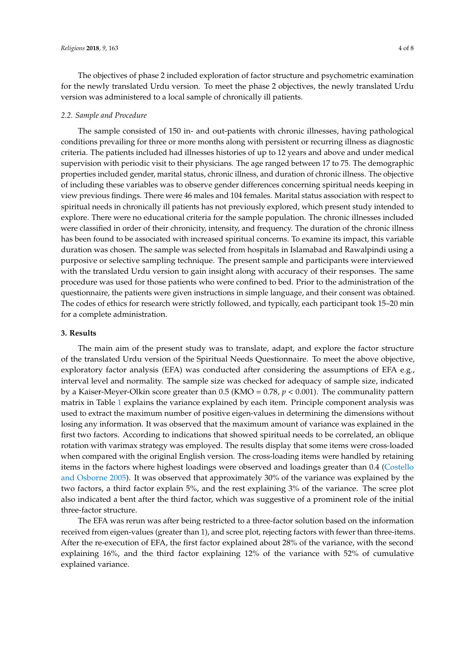The objectives of phase 2 included exploration of factor structure and psychometric examination for the newly translated Urdu version. To meet the phase 2 objectives, the newly translated Urdu version was administered to a local sample of chronically ill patients.

#### *2.2. Sample and Procedure*

The sample consisted of 150 in- and out-patients with chronic illnesses, having pathological conditions prevailing for three or more months along with persistent or recurring illness as diagnostic criteria. The patients included had illnesses histories of up to 12 years and above and under medical supervision with periodic visit to their physicians. The age ranged between 17 to 75. The demographic properties included gender, marital status, chronic illness, and duration of chronic illness. The objective of including these variables was to observe gender differences concerning spiritual needs keeping in view previous findings. There were 46 males and 104 females. Marital status association with respect to spiritual needs in chronically ill patients has not previously explored, which present study intended to explore. There were no educational criteria for the sample population. The chronic illnesses included were classified in order of their chronicity, intensity, and frequency. The duration of the chronic illness has been found to be associated with increased spiritual concerns. To examine its impact, this variable duration was chosen. The sample was selected from hospitals in Islamabad and Rawalpindi using a purposive or selective sampling technique. The present sample and participants were interviewed with the translated Urdu version to gain insight along with accuracy of their responses. The same procedure was used for those patients who were confined to bed. Prior to the administration of the questionnaire, the patients were given instructions in simple language, and their consent was obtained. The codes of ethics for research were strictly followed, and typically, each participant took 15–20 min for a complete administration.

#### **3. Results**

The main aim of the present study was to translate, adapt, and explore the factor structure of the translated Urdu version of the Spiritual Needs Questionnaire. To meet the above objective, exploratory factor analysis (EFA) was conducted after considering the assumptions of EFA e.g., interval level and normality. The sample size was checked for adequacy of sample size, indicated by a Kaiser-Meyer-Olkin score greater than 0.5 (KMO = 0.78, *p* < 0.001). The communality pattern matrix in Table [1](#page-4-0) explains the variance explained by each item. Principle component analysis was used to extract the maximum number of positive eigen-values in determining the dimensions without losing any information. It was observed that the maximum amount of variance was explained in the first two factors. According to indications that showed spiritual needs to be correlated, an oblique rotation with varimax strategy was employed. The results display that some items were cross-loaded when compared with the original English version. The cross-loading items were handled by retaining items in the factors where highest loadings were observed and loadings greater than 0.4 [\(Costello](#page-6-10) [and Osborne](#page-6-10) [2005\)](#page-6-10). It was observed that approximately 30% of the variance was explained by the two factors, a third factor explain 5%, and the rest explaining 3% of the variance. The scree plot also indicated a bent after the third factor, which was suggestive of a prominent role of the initial three-factor structure.

The EFA was rerun was after being restricted to a three-factor solution based on the information received from eigen-values (greater than 1), and scree plot, rejecting factors with fewer than three-items. After the re-execution of EFA, the first factor explained about 28% of the variance, with the second explaining 16%, and the third factor explaining 12% of the variance with 52% of cumulative explained variance.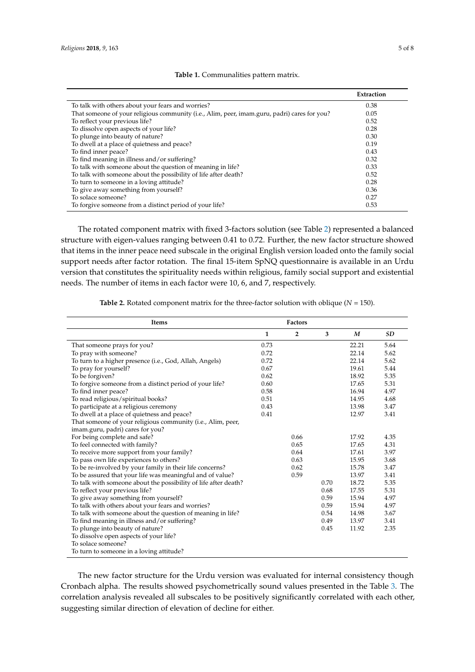<span id="page-4-0"></span>

|                                                                                              | Extraction |
|----------------------------------------------------------------------------------------------|------------|
| To talk with others about your fears and worries?                                            | 0.38       |
| That someone of your religious community (i.e., Alim, peer, imam.guru, padri) cares for you? | 0.05       |
| To reflect your previous life?                                                               | 0.52       |
| To dissolve open aspects of your life?                                                       | 0.28       |
| To plunge into beauty of nature?                                                             | 0.30       |
| To dwell at a place of quietness and peace?                                                  | 0.19       |
| To find inner peace?                                                                         | 0.43       |
| To find meaning in illness and/or suffering?                                                 | 0.32       |
| To talk with someone about the question of meaning in life?                                  | 0.33       |
| To talk with someone about the possibility of life after death?                              | 0.52       |
| To turn to someone in a loving attitude?                                                     | 0.28       |
| To give away something from yourself?                                                        | 0.36       |
| To solace someone?                                                                           | 0.27       |
| To forgive someone from a distinct period of your life?                                      | 0.53       |

**Table 1.** Communalities pattern matrix.

The rotated component matrix with fixed 3-factors solution (see Table [2\)](#page-4-1) represented a balanced structure with eigen-values ranging between 0.41 to 0.72. Further, the new factor structure showed that items in the inner peace need subscale in the original English version loaded onto the family social support needs after factor rotation. The final 15-item SpNQ questionnaire is available in an Urdu version that constitutes the spirituality needs within religious, family social support and existential needs. The number of items in each factor were 10, 6, and 7, respectively.

**Table 2.** Rotated component matrix for the three-factor solution with oblique (*N* = 150).

<span id="page-4-1"></span>

| Items                                                           | <b>Factors</b> |                |      |       |      |
|-----------------------------------------------------------------|----------------|----------------|------|-------|------|
|                                                                 | 1              | $\overline{2}$ | 3    | M     | SD   |
| That someone prays for you?                                     | 0.73           |                |      | 22.21 | 5.64 |
| To pray with someone?                                           | 0.72           |                |      | 22.14 | 5.62 |
| To turn to a higher presence (i.e., God, Allah, Angels)         | 0.72           |                |      | 22.14 | 5.62 |
| To pray for yourself?                                           | 0.67           |                |      | 19.61 | 5.44 |
| To be forgiven?                                                 | 0.62           |                |      | 18.92 | 5.35 |
| To forgive someone from a distinct period of your life?         | 0.60           |                |      | 17.65 | 5.31 |
| To find inner peace?                                            | 0.58           |                |      | 16.94 | 4.97 |
| To read religious/spiritual books?                              | 0.51           |                |      | 14.95 | 4.68 |
| To participate at a religious ceremony                          | 0.43           |                |      | 13.98 | 3.47 |
| To dwell at a place of quietness and peace?                     | 0.41           |                |      | 12.97 | 3.41 |
| That someone of your religious community (i.e., Alim, peer,     |                |                |      |       |      |
| imam.guru, padri) cares for you?                                |                |                |      |       |      |
| For being complete and safe?                                    |                | 0.66           |      | 17.92 | 4.35 |
| To feel connected with family?                                  |                | 0.65           |      | 17.65 | 4.31 |
| To receive more support from your family?                       |                | 0.64           |      | 17.61 | 3.97 |
| To pass own life experiences to others?                         |                | 0.63           |      | 15.95 | 3.68 |
| To be re-involved by your family in their life concerns?        |                | 0.62           |      | 15.78 | 3.47 |
| To be assured that your life was meaningful and of value?       |                | 0.59           |      | 13.97 | 3.41 |
| To talk with someone about the possibility of life after death? |                |                | 0.70 | 18.72 | 5.35 |
| To reflect your previous life?                                  |                |                | 0.68 | 17.55 | 5.31 |
| To give away something from yourself?                           |                |                | 0.59 | 15.94 | 4.97 |
| To talk with others about your fears and worries?               |                |                | 0.59 | 15.94 | 4.97 |
| To talk with someone about the question of meaning in life?     |                |                | 0.54 | 14.98 | 3.67 |
| To find meaning in illness and/or suffering?                    |                |                | 0.49 | 13.97 | 3.41 |
| To plunge into beauty of nature?                                |                |                | 0.45 | 11.92 | 2.35 |
| To dissolve open aspects of your life?                          |                |                |      |       |      |
| To solace someone?                                              |                |                |      |       |      |
| To turn to someone in a loving attitude?                        |                |                |      |       |      |

The new factor structure for the Urdu version was evaluated for internal consistency though Cronbach alpha. The results showed psychometrically sound values presented in the Table [3.](#page-5-0) The correlation analysis revealed all subscales to be positively significantly correlated with each other, suggesting similar direction of elevation of decline for either.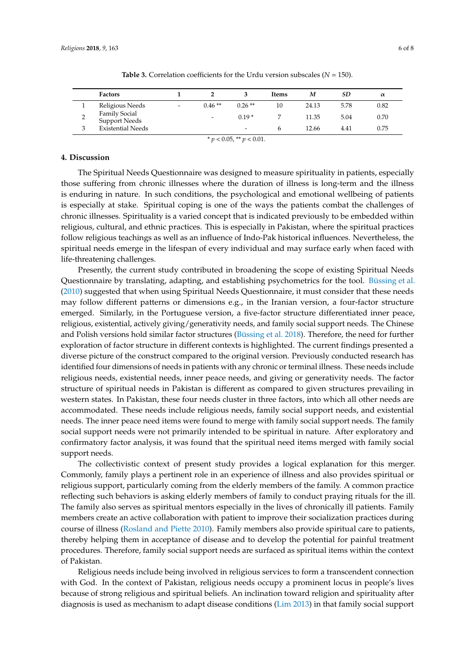<span id="page-5-0"></span>

| <b>Factors</b>                               |                          |          | Items | м     | SD.  | $\alpha$ |
|----------------------------------------------|--------------------------|----------|-------|-------|------|----------|
| Religious Needs                              | $0.46**$                 | $0.26**$ | 10    | 24.13 | 5.78 | 0.82     |
| <b>Family Social</b><br><b>Support Needs</b> | $\overline{\phantom{0}}$ | $0.19*$  |       | 11.35 | 5.04 | 0.70     |
| <b>Existential Needs</b>                     |                          | -        |       | 12.66 | 4.41 | 0.75     |

**Table 3.** Correlation coefficients for the Urdu version subscales ( $N = 150$ ).

 $\frac{*}{p}$  < 0.05,  $\frac{**}{p}$  < 0.01.

#### **4. Discussion**

The Spiritual Needs Questionnaire was designed to measure spirituality in patients, especially those suffering from chronic illnesses where the duration of illness is long-term and the illness is enduring in nature. In such conditions, the psychological and emotional wellbeing of patients is especially at stake. Spiritual coping is one of the ways the patients combat the challenges of chronic illnesses. Spirituality is a varied concept that is indicated previously to be embedded within religious, cultural, and ethnic practices. This is especially in Pakistan, where the spiritual practices follow religious teachings as well as an influence of Indo-Pak historical influences. Nevertheless, the spiritual needs emerge in the lifespan of every individual and may surface early when faced with life-threatening challenges.

Presently, the current study contributed in broadening the scope of existing Spiritual Needs Questionnaire by translating, adapting, and establishing psychometrics for the tool. [Büssing et al.](#page-6-2) [\(2010\)](#page-6-2) suggested that when using Spiritual Needs Questionnaire, it must consider that these needs may follow different patterns or dimensions e.g., in the Iranian version, a four-factor structure emerged. Similarly, in the Portuguese version, a five-factor structure differentiated inner peace, religious, existential, actively giving/generativity needs, and family social support needs. The Chinese and Polish versions hold similar factor structures [\(Büssing et al.](#page-6-8) [2018\)](#page-6-8). Therefore, the need for further exploration of factor structure in different contexts is highlighted. The current findings presented a diverse picture of the construct compared to the original version. Previously conducted research has identified four dimensions of needs in patients with any chronic or terminal illness. These needs include religious needs, existential needs, inner peace needs, and giving or generativity needs. The factor structure of spiritual needs in Pakistan is different as compared to given structures prevailing in western states. In Pakistan, these four needs cluster in three factors, into which all other needs are accommodated. These needs include religious needs, family social support needs, and existential needs. The inner peace need items were found to merge with family social support needs. The family social support needs were not primarily intended to be spiritual in nature. After exploratory and confirmatory factor analysis, it was found that the spiritual need items merged with family social support needs.

The collectivistic context of present study provides a logical explanation for this merger. Commonly, family plays a pertinent role in an experience of illness and also provides spiritual or religious support, particularly coming from the elderly members of the family. A common practice reflecting such behaviors is asking elderly members of family to conduct praying rituals for the ill. The family also serves as spiritual mentors especially in the lives of chronically ill patients. Family members create an active collaboration with patient to improve their socialization practices during course of illness [\(Rosland and Piette](#page-7-16) [2010\)](#page-7-16). Family members also provide spiritual care to patients, thereby helping them in acceptance of disease and to develop the potential for painful treatment procedures. Therefore, family social support needs are surfaced as spiritual items within the context of Pakistan.

Religious needs include being involved in religious services to form a transcendent connection with God. In the context of Pakistan, religious needs occupy a prominent locus in people's lives because of strong religious and spiritual beliefs. An inclination toward religion and spirituality after diagnosis is used as mechanism to adapt disease conditions [\(Lim](#page-7-17) [2013\)](#page-7-17) in that family social support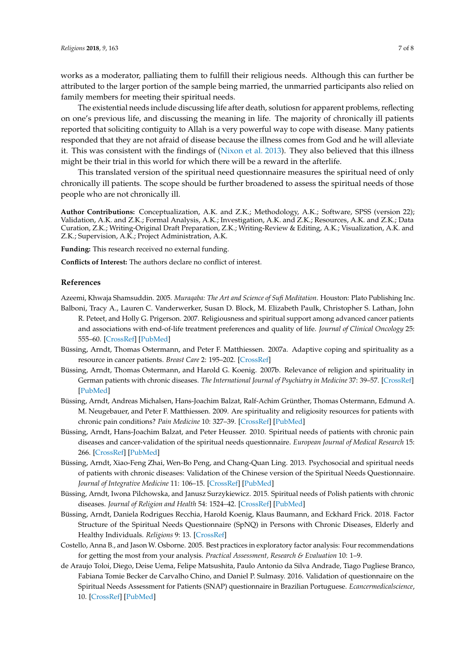works as a moderator, palliating them to fulfill their religious needs. Although this can further be attributed to the larger portion of the sample being married, the unmarried participants also relied on family members for meeting their spiritual needs.

The existential needs include discussing life after death, solutiosn for apparent problems, reflecting on one's previous life, and discussing the meaning in life. The majority of chronically ill patients reported that soliciting contiguity to Allah is a very powerful way to cope with disease. Many patients responded that they are not afraid of disease because the illness comes from God and he will alleviate it. This was consistent with the findings of [\(Nixon et al.](#page-7-18) [2013\)](#page-7-18). They also believed that this illness might be their trial in this world for which there will be a reward in the afterlife.

This translated version of the spiritual need questionnaire measures the spiritual need of only chronically ill patients. The scope should be further broadened to assess the spiritual needs of those people who are not chronically ill.

**Author Contributions:** Conceptualization, A.K. and Z.K.; Methodology, A.K.; Software, SPSS (version 22); Validation, A.K. and Z.K.; Formal Analysis, A.K.; Investigation, A.K. and Z.K.; Resources, A.K. and Z.K.; Data Curation, Z.K.; Writing-Original Draft Preparation, Z.K.; Writing-Review & Editing, A.K.; Visualization, A.K. and Z.K.; Supervision, A.K.; Project Administration, A.K.

**Funding:** This research received no external funding.

**Conflicts of Interest:** The authors declare no conflict of interest.

## **References**

<span id="page-6-1"></span><span id="page-6-0"></span>Azeemi, Khwaja Shamsuddin. 2005. *Muraqaba: The Art and Science of Sufi Meditation*. Houston: Plato Publishing Inc. Balboni, Tracy A., Lauren C. Vanderwerker, Susan D. Block, M. Elizabeth Paulk, Christopher S. Lathan, John

- R. Peteet, and Holly G. Prigerson. 2007. Religiousness and spiritual support among advanced cancer patients and associations with end-of-life treatment preferences and quality of life. *Journal of Clinical Oncology* 25: 555–60. [\[CrossRef\]](http://dx.doi.org/10.1200/JCO.2006.07.9046) [\[PubMed\]](http://www.ncbi.nlm.nih.gov/pubmed/17290065)
- <span id="page-6-4"></span>Büssing, Arndt, Thomas Ostermann, and Peter F. Matthiessen. 2007a. Adaptive coping and spirituality as a resource in cancer patients. *Breast Care* 2: 195–202. [\[CrossRef\]](http://dx.doi.org/10.1159/000104172)
- <span id="page-6-5"></span>Büssing, Arndt, Thomas Ostermann, and Harold G. Koenig. 2007b. Relevance of religion and spirituality in German patients with chronic diseases. *The International Journal of Psychiatry in Medicine* 37: 39–57. [\[CrossRef\]](http://dx.doi.org/10.2190/60W7-1661-2623-6042) [\[PubMed\]](http://www.ncbi.nlm.nih.gov/pubmed/17645197)
- <span id="page-6-3"></span>Büssing, Arndt, Andreas Michalsen, Hans-Joachim Balzat, Ralf-Achim Grünther, Thomas Ostermann, Edmund A. M. Neugebauer, and Peter F. Matthiessen. 2009. Are spirituality and religiosity resources for patients with chronic pain conditions? *Pain Medicine* 10: 327–39. [\[CrossRef\]](http://dx.doi.org/10.1111/j.1526-4637.2009.00572.x) [\[PubMed\]](http://www.ncbi.nlm.nih.gov/pubmed/19284487)
- <span id="page-6-2"></span>Büssing, Arndt, Hans-Joachim Balzat, and Peter Heusser. 2010. Spiritual needs of patients with chronic pain diseases and cancer-validation of the spiritual needs questionnaire. *European Journal of Medical Research* 15: 266. [\[CrossRef\]](http://dx.doi.org/10.1186/2047-783X-15-6-266) [\[PubMed\]](http://www.ncbi.nlm.nih.gov/pubmed/20696636)
- <span id="page-6-7"></span>Büssing, Arndt, Xiao-Feng Zhai, Wen-Bo Peng, and Chang-Quan Ling. 2013. Psychosocial and spiritual needs of patients with chronic diseases: Validation of the Chinese version of the Spiritual Needs Questionnaire. *Journal of Integrative Medicine* 11: 106–15. [\[CrossRef\]](http://dx.doi.org/10.3736/jintegrmed2013020) [\[PubMed\]](http://www.ncbi.nlm.nih.gov/pubmed/23506691)
- <span id="page-6-6"></span>Büssing, Arndt, Iwona Pilchowska, and Janusz Surzykiewicz. 2015. Spiritual needs of Polish patients with chronic diseases. *Journal of Religion and Health* 54: 1524–42. [\[CrossRef\]](http://dx.doi.org/10.1007/s10943-014-9863-x) [\[PubMed\]](http://www.ncbi.nlm.nih.gov/pubmed/24788614)
- <span id="page-6-8"></span>Büssing, Arndt, Daniela Rodrigues Recchia, Harold Koenig, Klaus Baumann, and Eckhard Frick. 2018. Factor Structure of the Spiritual Needs Questionnaire (SpNQ) in Persons with Chronic Diseases, Elderly and Healthy Individuals. *Religions* 9: 13. [\[CrossRef\]](http://dx.doi.org/10.3390/rel9010013)
- <span id="page-6-10"></span>Costello, Anna B., and Jason W. Osborne. 2005. Best practices in exploratory factor analysis: Four recommendations for getting the most from your analysis. *Practical Assessment, Research & Evaluation* 10: 1–9.
- <span id="page-6-9"></span>de Araujo Toloi, Diego, Deise Uema, Felipe Matsushita, Paulo Antonio da Silva Andrade, Tiago Pugliese Branco, Fabiana Tomie Becker de Carvalho Chino, and Daniel P. Sulmasy. 2016. Validation of questionnaire on the Spiritual Needs Assessment for Patients (SNAP) questionnaire in Brazilian Portuguese. *Ecancermedicalscience*, 10. [\[CrossRef\]](http://dx.doi.org/10.3332/ecancer.2016.694) [\[PubMed\]](http://www.ncbi.nlm.nih.gov/pubmed/28101137)